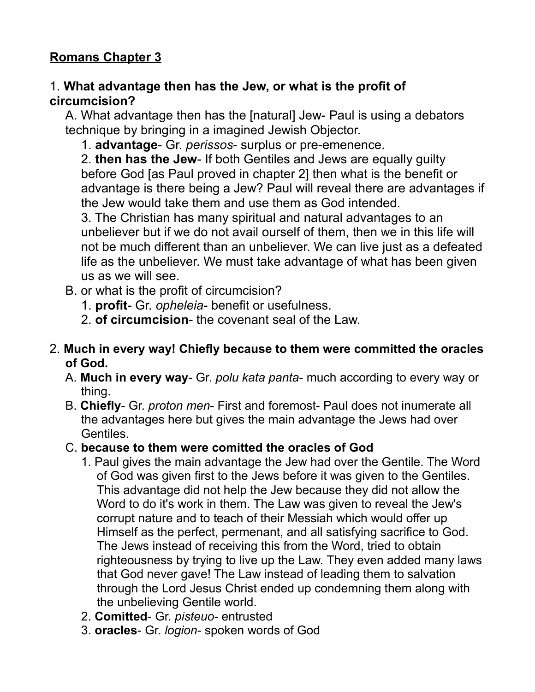# **Romans Chapter 3**

#### 1. **What advantage then has the Jew, or what is the profit of circumcision?**

A. What advantage then has the [natural] Jew- Paul is using a debators technique by bringing in a imagined Jewish Objector.

1. **advantage**- Gr. *perissos*- surplus or pre-emenence.

2. **then has the Jew**- If both Gentiles and Jews are equally guilty before God [as Paul proved in chapter 2] then what is the benefit or advantage is there being a Jew? Paul will reveal there are advantages if the Jew would take them and use them as God intended.

3. The Christian has many spiritual and natural advantages to an unbeliever but if we do not avail ourself of them, then we in this life will not be much different than an unbeliever. We can live just as a defeated life as the unbeliever. We must take advantage of what has been given us as we will see.

- B. or what is the profit of circumcision?
	- 1. **profit** Gr. *opheleia* benefit or usefulness.
	- 2. **of circumcision** the covenant seal of the Law.

#### 2. **Much in every way! Chiefly because to them were committed the oracles of God.**

- A. **Much in every way** Gr. *polu kata panta* much according to every way or thing.
- B. **Chiefly** Gr. *proton men* First and foremost- Paul does not inumerate all the advantages here but gives the main advantage the Jews had over Gentiles.
- C. **because to them were comitted the oracles of God**
	- 1. Paul gives the main advantage the Jew had over the Gentile. The Word of God was given first to the Jews before it was given to the Gentiles. This advantage did not help the Jew because they did not allow the Word to do it's work in them. The Law was given to reveal the Jew's corrupt nature and to teach of their Messiah which would offer up Himself as the perfect, permenant, and all satisfying sacrifice to God. The Jews instead of receiving this from the Word, tried to obtain righteousness by trying to live up the Law. They even added many laws that God never gave! The Law instead of leading them to salvation through the Lord Jesus Christ ended up condemning them along with the unbelieving Gentile world.
	- 2. **Comitted** Gr. *pisteuo* entrusted
	- 3. **oracles** Gr. *logion* spoken words of God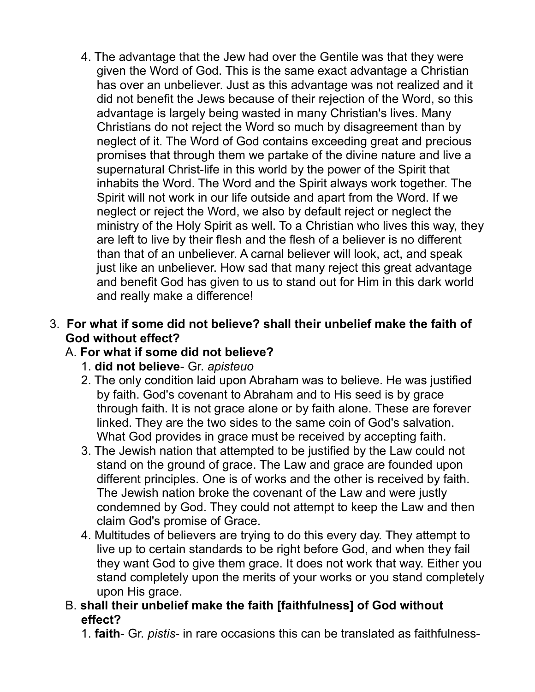4. The advantage that the Jew had over the Gentile was that they were given the Word of God. This is the same exact advantage a Christian has over an unbeliever. Just as this advantage was not realized and it did not benefit the Jews because of their rejection of the Word, so this advantage is largely being wasted in many Christian's lives. Many Christians do not reject the Word so much by disagreement than by neglect of it. The Word of God contains exceeding great and precious promises that through them we partake of the divine nature and live a supernatural Christ-life in this world by the power of the Spirit that inhabits the Word. The Word and the Spirit always work together. The Spirit will not work in our life outside and apart from the Word. If we neglect or reject the Word, we also by default reject or neglect the ministry of the Holy Spirit as well. To a Christian who lives this way, they are left to live by their flesh and the flesh of a believer is no different than that of an unbeliever. A carnal believer will look, act, and speak just like an unbeliever. How sad that many reject this great advantage and benefit God has given to us to stand out for Him in this dark world and really make a difference!

#### 3. **For what if some did not believe? shall their unbelief make the faith of God without effect?**

#### A. **For what if some did not believe?**

- 1. **did not believe** Gr. *apisteuo*
- 2. The only condition laid upon Abraham was to believe. He was justified by faith. God's covenant to Abraham and to His seed is by grace through faith. It is not grace alone or by faith alone. These are forever linked. They are the two sides to the same coin of God's salvation. What God provides in grace must be received by accepting faith.
- 3. The Jewish nation that attempted to be justified by the Law could not stand on the ground of grace. The Law and grace are founded upon different principles. One is of works and the other is received by faith. The Jewish nation broke the covenant of the Law and were justly condemned by God. They could not attempt to keep the Law and then claim God's promise of Grace.
- 4. Multitudes of believers are trying to do this every day. They attempt to live up to certain standards to be right before God, and when they fail they want God to give them grace. It does not work that way. Either you stand completely upon the merits of your works or you stand completely upon His grace.
- B. **shall their unbelief make the faith [faithfulness] of God without effect?**
	- 1. **faith** Gr. *pistis* in rare occasions this can be translated as faithfulness-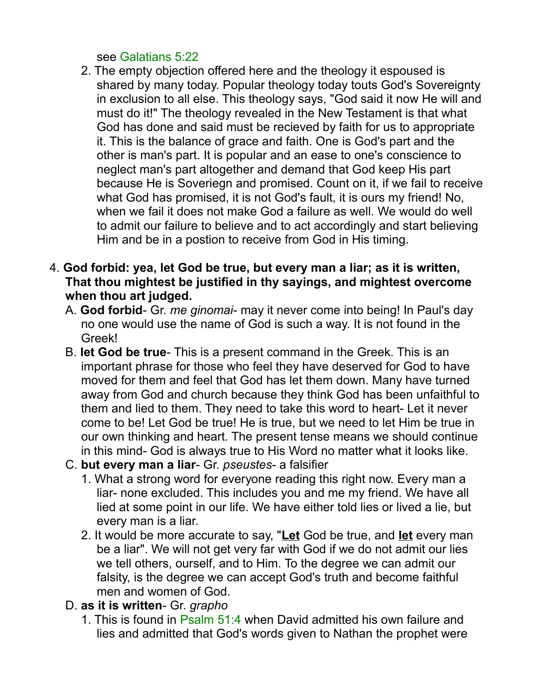#### see Galatians 5:22

- 2. The empty objection offered here and the theology it espoused is shared by many today. Popular theology today touts God's Sovereignty in exclusion to all else. This theology says, "God said it now He will and must do it!" The theology revealed in the New Testament is that what God has done and said must be recieved by faith for us to appropriate it. This is the balance of grace and faith. One is God's part and the other is man's part. It is popular and an ease to one's conscience to neglect man's part altogether and demand that God keep His part because He is Soveriegn and promised. Count on it, if we fail to receive what God has promised, it is not God's fault, it is ours my friend! No, when we fail it does not make God a failure as well. We would do well to admit our failure to believe and to act accordingly and start believing Him and be in a postion to receive from God in His timing.
- 4. **God forbid: yea, let God be true, but every man a liar; as it is written, That thou mightest be justified in thy sayings, and mightest overcome when thou art judged.** 
	- A. **God forbid** Gr. *me ginomai* may it never come into being! In Paul's day no one would use the name of God is such a way. It is not found in the Greek!
	- B. **let God be true** This is a present command in the Greek. This is an important phrase for those who feel they have deserved for God to have moved for them and feel that God has let them down. Many have turned away from God and church because they think God has been unfaithful to them and lied to them. They need to take this word to heart- Let it never come to be! Let God be true! He is true, but we need to let Him be true in our own thinking and heart. The present tense means we should continue in this mind- God is always true to His Word no matter what it looks like.
	- C. **but every man a liar** Gr. *pseustes* a falsifier
		- 1. What a strong word for everyone reading this right now. Every man a liar- none excluded. This includes you and me my friend. We have all lied at some point in our life. We have either told lies or lived a lie, but every man is a liar.
		- 2. It would be more accurate to say, "**Let** God be true, and **let** every man be a liar". We will not get very far with God if we do not admit our lies we tell others, ourself, and to Him. To the degree we can admit our falsity, is the degree we can accept God's truth and become faithful men and women of God.
	- D. **as it is written** Gr. *grapho*
		- 1. This is found in Psalm 51:4 when David admitted his own failure and lies and admitted that God's words given to Nathan the prophet were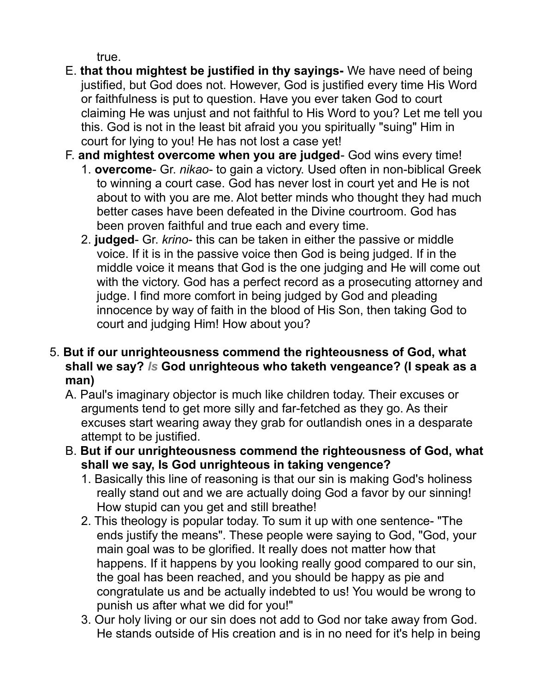true.

- E. **that thou mightest be justified in thy sayings-** We have need of being justified, but God does not. However, God is justified every time His Word or faithfulness is put to question. Have you ever taken God to court claiming He was unjust and not faithful to His Word to you? Let me tell you this. God is not in the least bit afraid you you spiritually "suing" Him in court for lying to you! He has not lost a case yet!
- F. **and mightest overcome when you are judged** God wins every time!
	- 1. **overcome** Gr. *nikao* to gain a victory. Used often in non-biblical Greek to winning a court case. God has never lost in court yet and He is not about to with you are me. Alot better minds who thought they had much better cases have been defeated in the Divine courtroom. God has been proven faithful and true each and every time.
	- 2. **judged** Gr. *krino* this can be taken in either the passive or middle voice. If it is in the passive voice then God is being judged. If in the middle voice it means that God is the one judging and He will come out with the victory. God has a perfect record as a prosecuting attorney and judge. I find more comfort in being judged by God and pleading innocence by way of faith in the blood of His Son, then taking God to court and judging Him! How about you?
- 5. **But if our unrighteousness commend the righteousness of God, what shall we say?** *Is* **God unrighteous who taketh vengeance? (I speak as a man)** 
	- A. Paul's imaginary objector is much like children today. Their excuses or arguments tend to get more silly and far-fetched as they go. As their excuses start wearing away they grab for outlandish ones in a desparate attempt to be justified.
	- B. **But if our unrighteousness commend the righteousness of God, what shall we say, Is God unrighteous in taking vengence?** 
		- 1. Basically this line of reasoning is that our sin is making God's holiness really stand out and we are actually doing God a favor by our sinning! How stupid can you get and still breathe!
		- 2. This theology is popular today. To sum it up with one sentence- "The ends justify the means". These people were saying to God, "God, your main goal was to be glorified. It really does not matter how that happens. If it happens by you looking really good compared to our sin, the goal has been reached, and you should be happy as pie and congratulate us and be actually indebted to us! You would be wrong to punish us after what we did for you!"
		- 3. Our holy living or our sin does not add to God nor take away from God. He stands outside of His creation and is in no need for it's help in being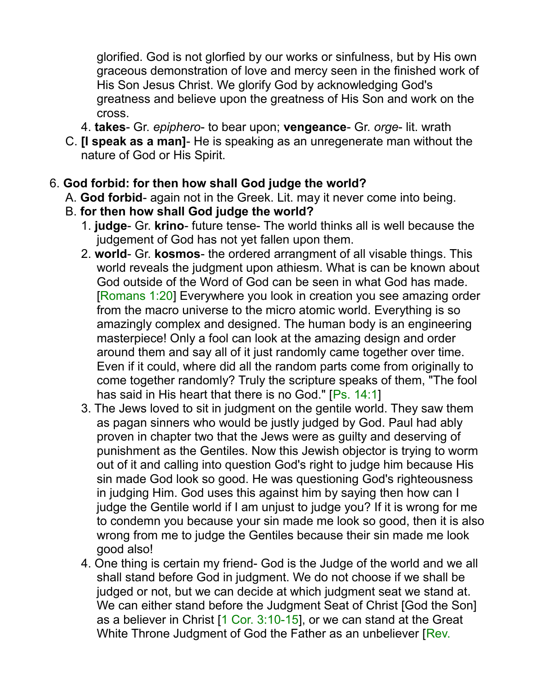glorified. God is not glorfied by our works or sinfulness, but by His own graceous demonstration of love and mercy seen in the finished work of His Son Jesus Christ. We glorify God by acknowledging God's greatness and believe upon the greatness of His Son and work on the cross.

- 4. **takes** Gr. *epiphero* to bear upon; **vengeance** Gr. *orge* lit. wrath
- C. **[I speak as a man]** He is speaking as an unregenerate man without the nature of God or His Spirit.

#### 6. **God forbid: for then how shall God judge the world?**

- A. **God forbid** again not in the Greek. Lit. may it never come into being.
- B. **for then how shall God judge the world?**
	- 1. **judge** Gr. **krino** future tense- The world thinks all is well because the judgement of God has not yet fallen upon them.
	- 2. **world** Gr. **kosmos** the ordered arrangment of all visable things. This world reveals the judgment upon athiesm. What is can be known about God outside of the Word of God can be seen in what God has made. [Romans 1:20] Everywhere you look in creation you see amazing order from the macro universe to the micro atomic world. Everything is so amazingly complex and designed. The human body is an engineering masterpiece! Only a fool can look at the amazing design and order around them and say all of it just randomly came together over time. Even if it could, where did all the random parts come from originally to come together randomly? Truly the scripture speaks of them, "The fool has said in His heart that there is no God." [Ps. 14:1]
	- 3. The Jews loved to sit in judgment on the gentile world. They saw them as pagan sinners who would be justly judged by God. Paul had ably proven in chapter two that the Jews were as guilty and deserving of punishment as the Gentiles. Now this Jewish objector is trying to worm out of it and calling into question God's right to judge him because His sin made God look so good. He was questioning God's righteousness in judging Him. God uses this against him by saying then how can I judge the Gentile world if I am unjust to judge you? If it is wrong for me to condemn you because your sin made me look so good, then it is also wrong from me to judge the Gentiles because their sin made me look good also!
	- 4. One thing is certain my friend- God is the Judge of the world and we all shall stand before God in judgment. We do not choose if we shall be judged or not, but we can decide at which judgment seat we stand at. We can either stand before the Judgment Seat of Christ [God the Son] as a believer in Christ [1 Cor. 3:10-15], or we can stand at the Great White Throne Judgment of God the Father as an unbeliever [Rev.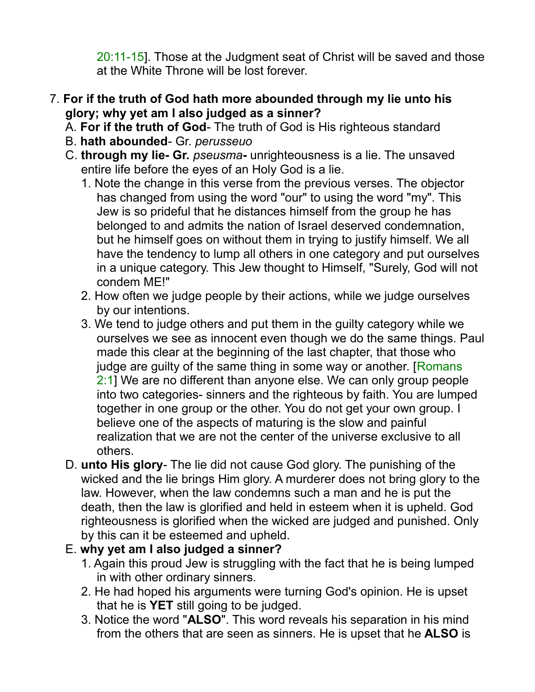20:11-15]. Those at the Judgment seat of Christ will be saved and those at the White Throne will be lost forever.

#### 7. **For if the truth of God hath more abounded through my lie unto his glory; why yet am I also judged as a sinner?**

- A. **For if the truth of God** The truth of God is His righteous standard
- B. **hath abounded** Gr. *perusseuo*
- C. **through my lie- Gr.** *pseusma*unrighteousness is a lie. The unsaved entire life before the eyes of an Holy God is a lie.
	- 1. Note the change in this verse from the previous verses. The objector has changed from using the word "our" to using the word "my". This Jew is so prideful that he distances himself from the group he has belonged to and admits the nation of Israel deserved condemnation, but he himself goes on without them in trying to justify himself. We all have the tendency to lump all others in one category and put ourselves in a unique category. This Jew thought to Himself, "Surely, God will not condem ME!"
	- 2. How often we judge people by their actions, while we judge ourselves by our intentions.
	- 3. We tend to judge others and put them in the guilty category while we ourselves we see as innocent even though we do the same things. Paul made this clear at the beginning of the last chapter, that those who judge are guilty of the same thing in some way or another. [Romans 2:1] We are no different than anyone else. We can only group people into two categories- sinners and the righteous by faith. You are lumped together in one group or the other. You do not get your own group. I believe one of the aspects of maturing is the slow and painful realization that we are not the center of the universe exclusive to all others.
- D. **unto His glory** The lie did not cause God glory. The punishing of the wicked and the lie brings Him glory. A murderer does not bring glory to the law. However, when the law condemns such a man and he is put the death, then the law is glorified and held in esteem when it is upheld. God righteousness is glorified when the wicked are judged and punished. Only by this can it be esteemed and upheld.

## E. **why yet am I also judged a sinner?**

- 1. Again this proud Jew is struggling with the fact that he is being lumped in with other ordinary sinners.
- 2. He had hoped his arguments were turning God's opinion. He is upset that he is **YET** still going to be judged.
- 3. Notice the word "**ALSO**". This word reveals his separation in his mind from the others that are seen as sinners. He is upset that he **ALSO** is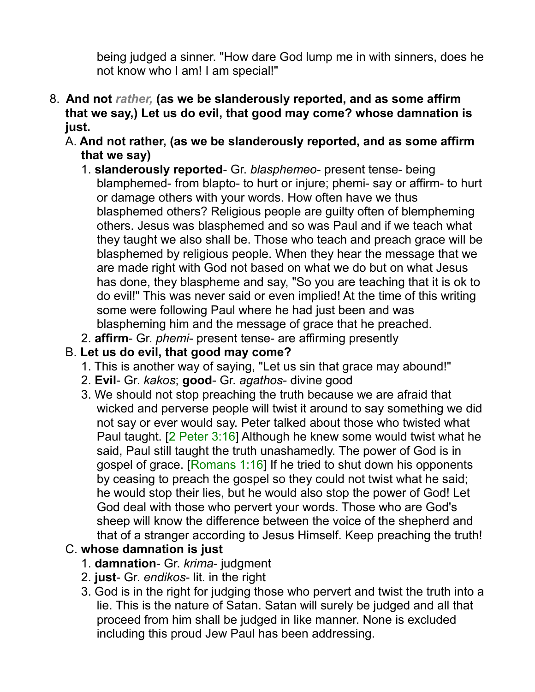being judged a sinner. "How dare God lump me in with sinners, does he not know who I am! I am special!"

- 8. **And not** *rather,* **(as we be slanderously reported, and as some affirm that we say,) Let us do evil, that good may come? whose damnation is just.** 
	- A. **And not rather, (as we be slanderously reported, and as some affirm that we say)**
		- 1. **slanderously reported** Gr. *blasphemeo* present tense- being blamphemed- from blapto- to hurt or injure; phemi- say or affirm- to hurt or damage others with your words. How often have we thus blasphemed others? Religious people are guilty often of blempheming others. Jesus was blasphemed and so was Paul and if we teach what they taught we also shall be. Those who teach and preach grace will be blasphemed by religious people. When they hear the message that we are made right with God not based on what we do but on what Jesus has done, they blaspheme and say, "So you are teaching that it is ok to do evil!" This was never said or even implied! At the time of this writing some were following Paul where he had just been and was blaspheming him and the message of grace that he preached.
		- 2. **affirm** Gr. *phemi* present tense- are affirming presently

#### B. **Let us do evil, that good may come?**

- 1. This is another way of saying, "Let us sin that grace may abound!"
- 2. **Evil** Gr. *kakos*; **good** Gr. *agathos* divine good
- 3. We should not stop preaching the truth because we are afraid that wicked and perverse people will twist it around to say something we did not say or ever would say. Peter talked about those who twisted what Paul taught. [2 Peter 3:16] Although he knew some would twist what he said, Paul still taught the truth unashamedly. The power of God is in gospel of grace. [Romans 1:16] If he tried to shut down his opponents by ceasing to preach the gospel so they could not twist what he said; he would stop their lies, but he would also stop the power of God! Let God deal with those who pervert your words. Those who are God's sheep will know the difference between the voice of the shepherd and that of a stranger according to Jesus Himself. Keep preaching the truth!

## C. **whose damnation is just**

- 1. **damnation** Gr. *krima* judgment
- 2. **just** Gr. *endikos* lit. in the right
- 3. God is in the right for judging those who pervert and twist the truth into a lie. This is the nature of Satan. Satan will surely be judged and all that proceed from him shall be judged in like manner. None is excluded including this proud Jew Paul has been addressing.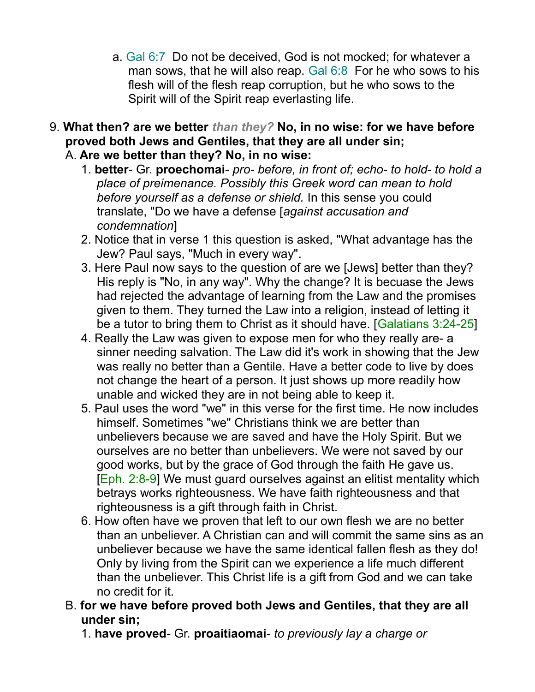- a. Gal 6:7 Do not be deceived, God is not mocked; for whatever a man sows, that he will also reap. Gal 6:8 For he who sows to his flesh will of the flesh reap corruption, but he who sows to the Spirit will of the Spirit reap everlasting life.
- 9. **What then? are we better** *than they?* **No, in no wise: for we have before proved both Jews and Gentiles, that they are all under sin;**  A. **Are we better than they? No, in no wise:**
	- 1. **better** Gr. **proechomai** *pro- before, in front of; echo- to hold- to hold a place of preimenance. Possibly this Greek word can mean to hold before yourself as a defense or shield.* In this sense you could translate, "Do we have a defense [*against accusation and condemnation*]
	- 2. Notice that in verse 1 this question is asked, "What advantage has the Jew? Paul says, "Much in every way".
	- 3. Here Paul now says to the question of are we [Jews] better than they? His reply is "No, in any way". Why the change? It is becuase the Jews had rejected the advantage of learning from the Law and the promises given to them. They turned the Law into a religion, instead of letting it be a tutor to bring them to Christ as it should have. [Galatians 3:24-25]
	- 4. Really the Law was given to expose men for who they really are- a sinner needing salvation. The Law did it's work in showing that the Jew was really no better than a Gentile. Have a better code to live by does not change the heart of a person. It just shows up more readily how unable and wicked they are in not being able to keep it.
	- 5. Paul uses the word "we" in this verse for the first time. He now includes himself. Sometimes "we" Christians think we are better than unbelievers because we are saved and have the Holy Spirit. But we ourselves are no better than unbelievers. We were not saved by our good works, but by the grace of God through the faith He gave us. [Eph. 2:8-9] We must guard ourselves against an elitist mentality which betrays works righteousness. We have faith righteousness and that righteousness is a gift through faith in Christ.
	- 6. How often have we proven that left to our own flesh we are no better than an unbeliever. A Christian can and will commit the same sins as an unbeliever because we have the same identical fallen flesh as they do! Only by living from the Spirit can we experience a life much different than the unbeliever. This Christ life is a gift from God and we can take no credit for it.
	- B. **for we have before proved both Jews and Gentiles, that they are all under sin;** 
		- 1. **have proved** Gr. **proaitiaomai** *to previously lay a charge or*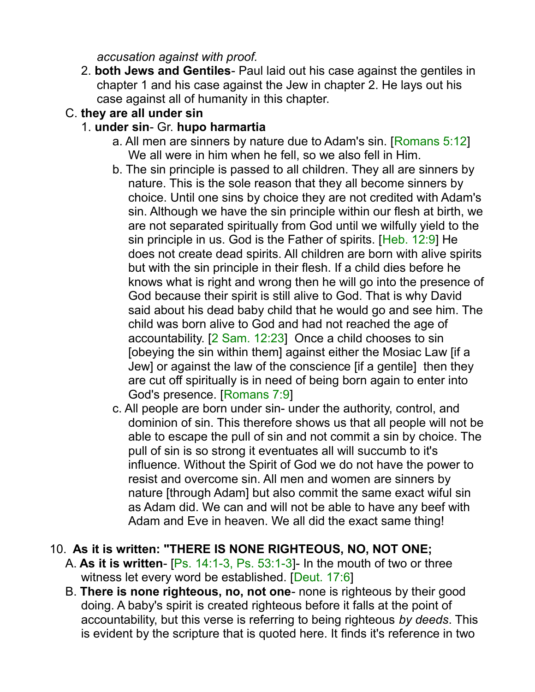*accusation against with proof.*

2. **both Jews and Gentiles**- Paul laid out his case against the gentiles in chapter 1 and his case against the Jew in chapter 2. He lays out his case against all of humanity in this chapter.

## C. **they are all under sin**

## 1. **under sin**- Gr. **hupo harmartia**

- a. All men are sinners by nature due to Adam's sin. [Romans 5:12] We all were in him when he fell, so we also fell in Him.
- b. The sin principle is passed to all children. They all are sinners by nature. This is the sole reason that they all become sinners by choice. Until one sins by choice they are not credited with Adam's sin. Although we have the sin principle within our flesh at birth, we are not separated spiritually from God until we wilfully yield to the sin principle in us. God is the Father of spirits. [Heb. 12:9] He does not create dead spirits. All children are born with alive spirits but with the sin principle in their flesh. If a child dies before he knows what is right and wrong then he will go into the presence of God because their spirit is still alive to God. That is why David said about his dead baby child that he would go and see him. The child was born alive to God and had not reached the age of accountability. [2 Sam. 12:23] Once a child chooses to sin [obeying the sin within them] against either the Mosiac Law [if a Jew] or against the law of the conscience [if a gentile] then they are cut off spiritually is in need of being born again to enter into God's presence. [Romans 7:9]
- c. All people are born under sin- under the authority, control, and dominion of sin. This therefore shows us that all people will not be able to escape the pull of sin and not commit a sin by choice. The pull of sin is so strong it eventuates all will succumb to it's influence. Without the Spirit of God we do not have the power to resist and overcome sin. All men and women are sinners by nature [through Adam] but also commit the same exact wiful sin as Adam did. We can and will not be able to have any beef with Adam and Eve in heaven. We all did the exact same thing!

## 10. **As it is written: "THERE IS NONE RIGHTEOUS, NO, NOT ONE;**

- A. **As it is written** [Ps. 14:1-3, Ps. 53:1-3]- In the mouth of two or three witness let every word be established. [Deut. 17:6]
- B. **There is none righteous, no, not one** none is righteous by their good doing. A baby's spirit is created righteous before it falls at the point of accountability, but this verse is referring to being righteous *by deeds*. This is evident by the scripture that is quoted here. It finds it's reference in two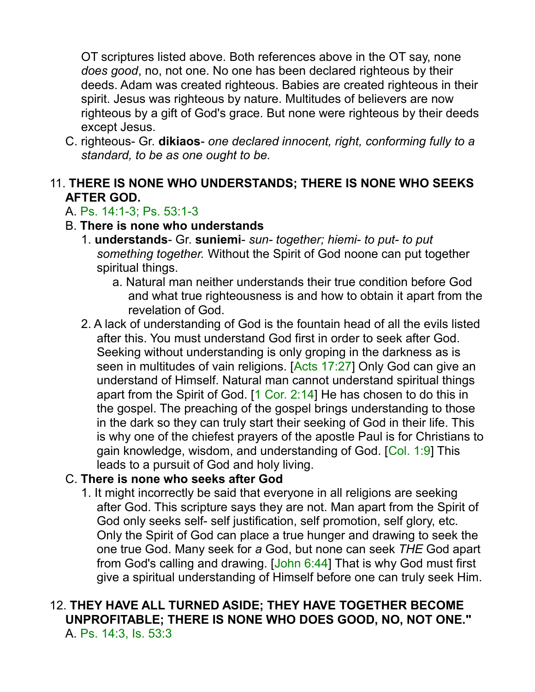OT scriptures listed above. Both references above in the OT say, none *does good*, no, not one. No one has been declared righteous by their deeds. Adam was created righteous. Babies are created righteous in their spirit. Jesus was righteous by nature. Multitudes of believers are now righteous by a gift of God's grace. But none were righteous by their deeds except Jesus.

C. righteous- Gr. **dikiaos**- *one declared innocent, right, conforming fully to a standard, to be as one ought to be.*

### 11. **THERE IS NONE WHO UNDERSTANDS; THERE IS NONE WHO SEEKS AFTER GOD.**

## A. Ps. 14:1-3; Ps. 53:1-3

- B. **There is none who understands**
	- 1. **understands** Gr. **suniemi** *sun- together; hiemi- to put- to put something together.* Without the Spirit of God noone can put together spiritual things.
		- a. Natural man neither understands their true condition before God and what true righteousness is and how to obtain it apart from the revelation of God.
	- 2. A lack of understanding of God is the fountain head of all the evils listed after this. You must understand God first in order to seek after God. Seeking without understanding is only groping in the darkness as is seen in multitudes of vain religions. [Acts 17:27] Only God can give an understand of Himself. Natural man cannot understand spiritual things apart from the Spirit of God. [1 Cor. 2:14] He has chosen to do this in the gospel. The preaching of the gospel brings understanding to those in the dark so they can truly start their seeking of God in their life. This is why one of the chiefest prayers of the apostle Paul is for Christians to gain knowledge, wisdom, and understanding of God. [Col. 1:9] This leads to a pursuit of God and holy living.

#### C. **There is none who seeks after God**

1. It might incorrectly be said that everyone in all religions are seeking after God. This scripture says they are not. Man apart from the Spirit of God only seeks self- self justification, self promotion, self glory, etc. Only the Spirit of God can place a true hunger and drawing to seek the one true God. Many seek for *a* God, but none can seek *THE* God apart from God's calling and drawing. [John 6:44] That is why God must first give a spiritual understanding of Himself before one can truly seek Him.

#### 12. **THEY HAVE ALL TURNED ASIDE; THEY HAVE TOGETHER BECOME UNPROFITABLE; THERE IS NONE WHO DOES GOOD, NO, NOT ONE."**  A. Ps. 14:3, Is. 53:3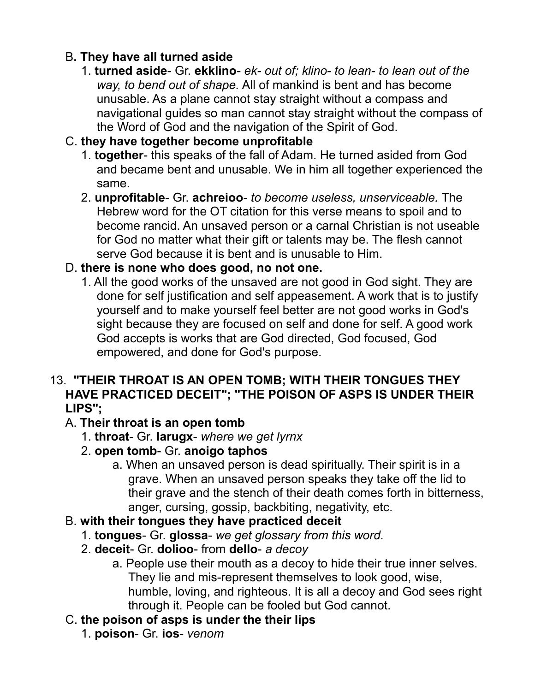# B**. They have all turned aside**

1. **turned aside**- Gr. **ekklino**- *ek- out of; klino- to lean- to lean out of the way, to bend out of shape.* All of mankind is bent and has become unusable. As a plane cannot stay straight without a compass and navigational guides so man cannot stay straight without the compass of the Word of God and the navigation of the Spirit of God.

# C. **they have together become unprofitable**

- 1. **together** this speaks of the fall of Adam. He turned asided from God and became bent and unusable. We in him all together experienced the same.
- 2. **unprofitable** Gr. **achreioo** *to become useless, unserviceable.* The Hebrew word for the OT citation for this verse means to spoil and to become rancid. An unsaved person or a carnal Christian is not useable for God no matter what their gift or talents may be. The flesh cannot serve God because it is bent and is unusable to Him.

## D. **there is none who does good, no not one.**

1. All the good works of the unsaved are not good in God sight. They are done for self justification and self appeasement. A work that is to justify yourself and to make yourself feel better are not good works in God's sight because they are focused on self and done for self. A good work God accepts is works that are God directed, God focused, God empowered, and done for God's purpose.

#### 13. **"THEIR THROAT IS AN OPEN TOMB; WITH THEIR TONGUES THEY HAVE PRACTICED DECEIT"; "THE POISON OF ASPS IS UNDER THEIR LIPS";**

## A. **Their throat is an open tomb**

- 1. **throat** Gr. **larugx** *where we get lyrnx*
- 2. **open tomb** Gr. **anoigo taphos**
	- a. When an unsaved person is dead spiritually. Their spirit is in a grave. When an unsaved person speaks they take off the lid to their grave and the stench of their death comes forth in bitterness, anger, cursing, gossip, backbiting, negativity, etc.

## B. **with their tongues they have practiced deceit**

- 1. **tongues** Gr. **glossa** *we get glossary from this word.*
- 2. **deceit** Gr. **dolioo** from **dello** *a decoy*
	- a. People use their mouth as a decoy to hide their true inner selves. They lie and mis-represent themselves to look good, wise, humble, loving, and righteous. It is all a decoy and God sees right through it. People can be fooled but God cannot.

## C. **the poison of asps is under the their lips**

1. **poison**- Gr. **ios**- *venom*